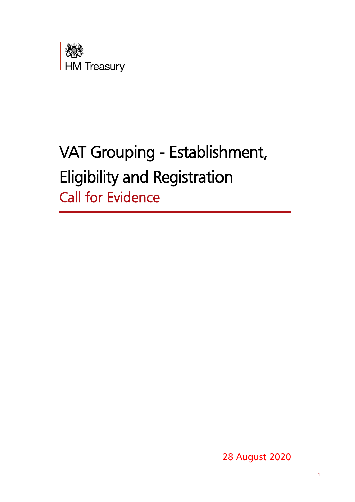

# VAT Grouping - Establishment, Eligibility and Registration Call for Evidence

28 August 2020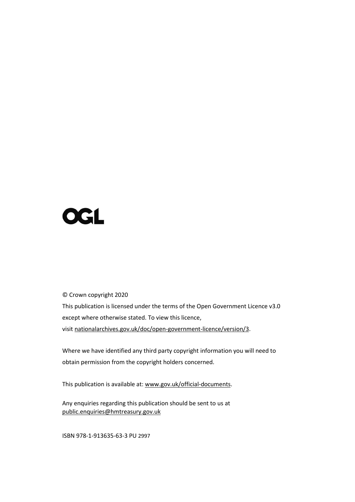# **OGL**

© Crown copyright 2020

This publication is licensed under the terms of the Open Government Licence v3.0 except where otherwise stated. To view this licence, visit [nationalarchives.gov.uk/doc/open-government-licence/version/3.](http://www.nationalarchives.gov.uk/doc/open-government-licence/version/3)

Where we have identified any third party copyright information you will need to obtain permission from the copyright holders concerned.

This publication is available at: [www.gov.uk/official-documents.](http://www.gov.uk/official-documents)

Any enquiries regarding this publication should be sent to us at [public.enquiries@hmtreasury.gov.uk](mailto:public.enquiries@hmtreasury.gov.uk)

ISBN 978-1-913635-63-3 PU 2997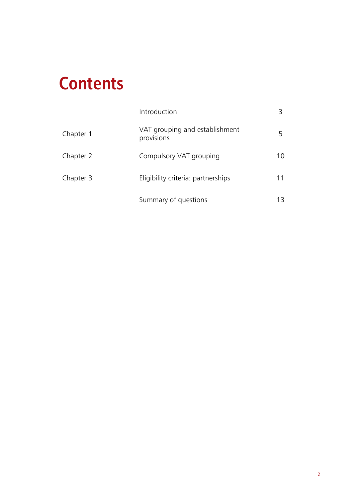# **Contents**

|           | Introduction                                 |     |
|-----------|----------------------------------------------|-----|
| Chapter 1 | VAT grouping and establishment<br>provisions | 5   |
| Chapter 2 | Compulsory VAT grouping                      | 10  |
| Chapter 3 | Eligibility criteria: partnerships           | 11  |
|           | Summary of questions                         | 13. |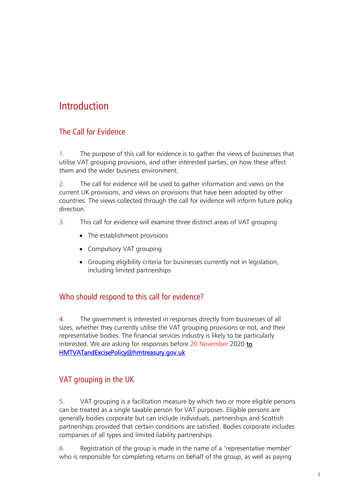## **Introduction**

### The Call for Evidence

1. The purpose of this call for evidence is to gather the views of businesses that utilise VAT grouping provisions, and other interested parties, on how these affect them and the wider business environment.

2. The call for evidence will be used to gather information and views on the current UK provisions, and views on provisions that have been adopted by other countries. The views collected through the call for evidence will inform future policy direction.

- 3. This call for evidence will examine three distinct areas of VAT grouping:
	- The establishment provisions
	- Compulsory VAT grouping
	- Grouping eligibility criteria for businesses currently not in legislation, including limited partnerships

#### Who should respond to this call for evidence?

4. The government is interested in responses directly from businesses of all sizes, whether they currently utilise the VAT grouping provisions or not, and their representative bodies. The financial services industry is likely to be particularly interested. We are asking for responses before 20 November 2020 to [HMTVATandExcisePolicy@hmtreasury.gov.uk](mailto:HMTVATandExcisePolicy@hmtreasury.gov.uk) 

### VAT grouping in the UK

5. VAT grouping is a facilitation measure by which two or more eligible persons can be treated as a single taxable person for VAT purposes. Eligible persons are generally bodies corporate but can include individuals, partnerships and Scottish partnerships provided that certain conditions are satisfied. Bodies corporate includes companies of all types and limited liability partnerships.

6. Registration of the group is made in the name of a 'representative member' who is responsible for completing returns on behalf of the group, as well as paying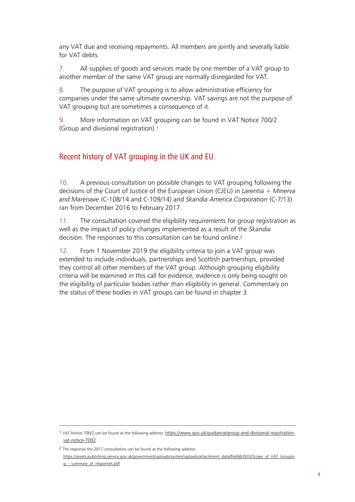any VAT due and receiving repayments. All members are jointly and severally liable for VAT debts.

7. All supplies of goods and services made by one member of a VAT group to another member of the same VAT group are normally disregarded for VAT.

8. The purpose of VAT grouping is to allow administrative efficiency for companies under the same ultimate ownership. VAT savings are not the purpose of VAT grouping but are sometimes a consequence of it.

9. More information on VAT grouping can be found in VAT Notice 700/2 (Group and divisional registration). 1

#### Recent history of VAT grouping in the UK and EU

10. A previous consultation on possible changes to VAT grouping following the decisions of the Court of Justice of the European Union (CJEU) in *Larentia + Minerva and Marenave* (C-108/14 and C-109/14) and *Skandia America Corporation* (C-7/13) ran from December 2016 to February 2017.

11. The consultation covered the eligibility requirements for group registration as well as the impact of policy changes implemented as a result of the *Skandia* decision. The responses to this consultation can be found online. 2

12. From 1 November 2019 the eligibility criteria to join a VAT group was extended to include individuals, partnerships and Scottish partnerships, provided they control all other members of the VAT group. Although grouping eligibility criteria will be examined in this call for evidence, evidence is only being sought on the eligibility of particular bodies rather than eligibility in general. Commentary on the status of these bodies in VAT groups can be found in chapter 3.

<sup>1</sup> VAT Notice 700/2 can be found at the following address: [https://www.gov.uk/guidance/group-and-divisional-registration](https://www.gov.uk/guidance/group-and-divisional-registration-vat-notice-7002)[vat-notice-7002](https://www.gov.uk/guidance/group-and-divisional-registration-vat-notice-7002)

<sup>2</sup> The response the 2017 consultation can be found at the following address:

[https://assets.publishing.service.gov.uk/government/uploads/system/uploads/attachment\\_data/file/663933/Scope\\_of\\_VAT\\_Groupin](https://assets.publishing.service.gov.uk/government/uploads/system/uploads/attachment_data/file/663933/Scope_of_VAT_Grouping_-_summary_of_responses.pdf) g - summary of responses.pdf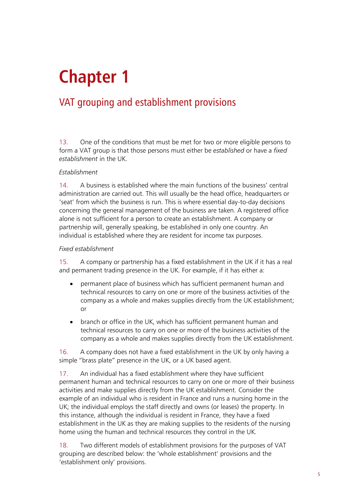# **Chapter 1**

## VAT grouping and establishment provisions

13. One of the conditions that must be met for two or more eligible persons to form a VAT group is that those persons must either be *established* or have a *fixed establishment* in the UK.

#### *Establishment*

14. A business is established where the main functions of the business' central administration are carried out. This will usually be the head office, headquarters or 'seat' from which the business is run. This is where essential day-to-day decisions concerning the general management of the business are taken. A registered office alone is not sufficient for a person to create an establishment. A company or partnership will, generally speaking, be established in only one country. An individual is established where they are resident for income tax purposes.

#### *Fixed establishment*

15. A company or partnership has a fixed establishment in the UK if it has a real and permanent trading presence in the UK. For example, if it has either a:

- permanent place of business which has sufficient permanent human and technical resources to carry on one or more of the business activities of the company as a whole and makes supplies directly from the UK establishment; or
- branch or office in the UK, which has sufficient permanent human and technical resources to carry on one or more of the business activities of the company as a whole and makes supplies directly from the UK establishment.

16. A company does not have a fixed establishment in the UK by only having a simple "brass plate" presence in the UK, or a UK based agent.

17. An individual has a fixed establishment where they have sufficient permanent human and technical resources to carry on one or more of their business activities and make supplies directly from the UK establishment. Consider the example of an individual who is resident in France and runs a nursing home in the UK; the individual employs the staff directly and owns (or leases) the property. In this instance, although the individual is resident in France, they have a fixed establishment in the UK as they are making supplies to the residents of the nursing home using the human and technical resources they control in the UK.

18. Two different models of establishment provisions for the purposes of VAT grouping are described below: the 'whole establishment' provisions and the 'establishment only' provisions.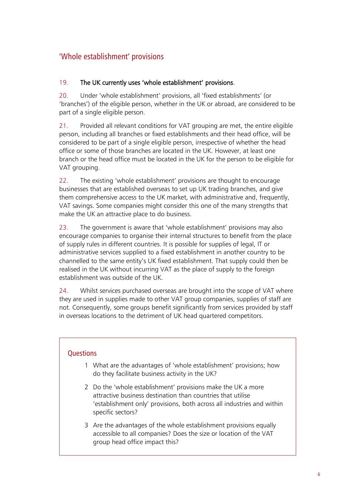## 'Whole establishment' provisions

#### 19. The UK currently uses 'whole establishment' provisions.

20. Under 'whole establishment' provisions, all 'fixed establishments' (or 'branches') of the eligible person, whether in the UK or abroad, are considered to be part of a single eligible person.

21. Provided all relevant conditions for VAT grouping are met, the entire eligible person, including all branches or fixed establishments and their head office, will be considered to be part of a single eligible person, irrespective of whether the head office or some of those branches are located in the UK. However, at least one branch or the head office must be located in the UK for the person to be eligible for VAT grouping.

22. The existing 'whole establishment' provisions are thought to encourage businesses that are established overseas to set up UK trading branches, and give them comprehensive access to the UK market, with administrative and, frequently, VAT savings. Some companies might consider this one of the many strengths that make the UK an attractive place to do business.

23. The government is aware that 'whole establishment' provisions may also encourage companies to organise their internal structures to benefit from the place of supply rules in different countries. It is possible for supplies of legal, IT or administrative services supplied to a fixed establishment in another country to be channelled to the same entity's UK fixed establishment. That supply could then be realised in the UK without incurring VAT as the place of supply to the foreign establishment was outside of the UK.

24. Whilst services purchased overseas are brought into the scope of VAT where they are used in supplies made to other VAT group companies, supplies of staff are not. Consequently, some groups benefit significantly from services provided by staff in overseas locations to the detriment of UK head quartered competitors.

#### **Ouestions**

- 1 What are the advantages of 'whole establishment' provisions; how do they facilitate business activity in the UK?
- 2 Do the 'whole establishment' provisions make the UK a more attractive business destination than countries that utilise 'establishment only' provisions, both across all industries and within specific sectors?
- 3 Are the advantages of the whole establishment provisions equally accessible to all companies? Does the size or location of the VAT group head office impact this?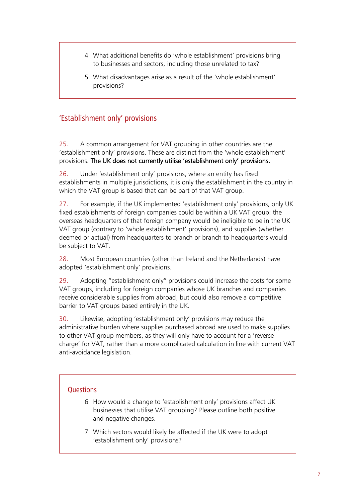- 4 What additional benefits do 'whole establishment' provisions bring to businesses and sectors, including those unrelated to tax?
- 5 What disadvantages arise as a result of the 'whole establishment' provisions?

### 'Establishment only' provisions

25. A common arrangement for VAT grouping in other countries are the 'establishment only' provisions. These are distinct from the 'whole establishment' provisions. The UK does not currently utilise 'establishment only' provisions.

26. Under 'establishment only' provisions, where an entity has fixed establishments in multiple jurisdictions, it is only the establishment in the country in which the VAT group is based that can be part of that VAT group.

27. For example, if the UK implemented 'establishment only' provisions, only UK fixed establishments of foreign companies could be within a UK VAT group: the overseas headquarters of that foreign company would be ineligible to be in the UK VAT group (contrary to 'whole establishment' provisions), and supplies (whether deemed or actual) from headquarters to branch or branch to headquarters would be subject to VAT.

28. Most European countries (other than Ireland and the Netherlands) have adopted 'establishment only' provisions.

29. Adopting "establishment only" provisions could increase the costs for some VAT groups, including for foreign companies whose UK branches and companies receive considerable supplies from abroad, but could also remove a competitive barrier to VAT groups based entirely in the UK.

30. Likewise, adopting 'establishment only' provisions may reduce the administrative burden where supplies purchased abroad are used to make supplies to other VAT group members, as they will only have to account for a 'reverse charge' for VAT, rather than a more complicated calculation in line with current VAT anti-avoidance legislation.

#### **Ouestions**

- 6 How would a change to 'establishment only' provisions affect UK businesses that utilise VAT grouping? Please outline both positive and negative changes.
- 7 Which sectors would likely be affected if the UK were to adopt 'establishment only' provisions?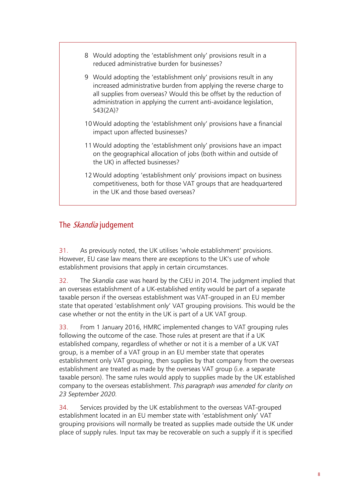- 8 Would adopting the 'establishment only' provisions result in a reduced administrative burden for businesses?
- 9 Would adopting the 'establishment only' provisions result in any increased administrative burden from applying the reverse charge to all supplies from overseas? Would this be offset by the reduction of administration in applying the current anti-avoidance legislation, S43(2A)?
- 10 Would adopting the 'establishment only' provisions have a financial impact upon affected businesses?
- 11 Would adopting the 'establishment only' provisions have an impact on the geographical allocation of jobs (both within and outside of the UK) in affected businesses?
- 12 Would adopting 'establishment only' provisions impact on business competitiveness, both for those VAT groups that are headquartered in the UK and those based overseas?

### The *Skandia* judgement

31. As previously noted, the UK utilises 'whole establishment' provisions. However, EU case law means there are exceptions to the UK's use of whole establishment provisions that apply in certain circumstances.

32. The *Skandia* case was heard by the CJEU in 2014. The judgment implied that an overseas establishment of a UK-established entity would be part of a separate taxable person if the overseas establishment was VAT-grouped in an EU member state that operated 'establishment only' VAT grouping provisions. This would be the case whether or not the entity in the UK is part of a UK VAT group.

33. From 1 January 2016, HMRC implemented changes to VAT grouping rules following the outcome of the case. Those rules at present are that if a UK established company, regardless of whether or not it is a member of a UK VAT group, is a member of a VAT group in an EU member state that operates establishment only VAT grouping, then supplies by that company from the overseas establishment are treated as made by the overseas VAT group (i.e. a separate taxable person). The same rules would apply to supplies made by the UK established company to the overseas establishment. *This paragraph was amended for clarity on 23 September 2020.*

34. Services provided by the UK establishment to the overseas VAT-grouped establishment located in an EU member state with 'establishment only' VAT grouping provisions will normally be treated as supplies made outside the UK under place of supply rules. Input tax may be recoverable on such a supply if it is specified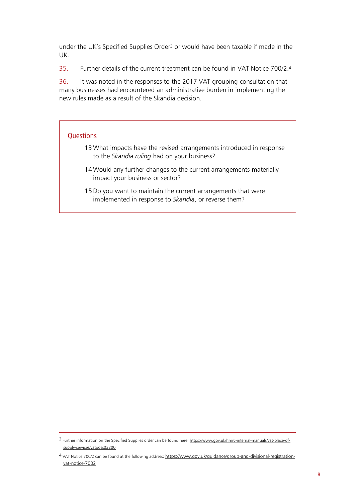under the UK's Specified Supplies Order<sup>3</sup> or would have been taxable if made in the UK.

35. Further details of the current treatment can be found in VAT Notice 700/2. 4

36. It was noted in the responses to the 2017 VAT grouping consultation that many businesses had encountered an administrative burden in implementing the new rules made as a result of the Skandia decision.

#### **Questions**

- 13 What impacts have the revised arrangements introduced in response to the *Skandia ruling* had on your business?
- 14 Would any further changes to the current arrangements materially impact your business or sector?
- 15Do you want to maintain the current arrangements that were implemented in response to *Skandia*, or reverse them?

<sup>3</sup> Further information on the Specified Supplies order can be found here[: https://www.gov.uk/hmrc-internal-manuals/vat-place-of](https://www.gov.uk/hmrc-internal-manuals/vat-place-of-supply-services/vatposs03200)[supply-services/vatposs03200](https://www.gov.uk/hmrc-internal-manuals/vat-place-of-supply-services/vatposs03200)

<sup>4</sup> VAT Notice 700/2 can be found at the following address: [https://www.gov.uk/guidance/group-and-divisional-registration](https://www.gov.uk/guidance/group-and-divisional-registration-vat-notice-7002)[vat-notice-7002](https://www.gov.uk/guidance/group-and-divisional-registration-vat-notice-7002)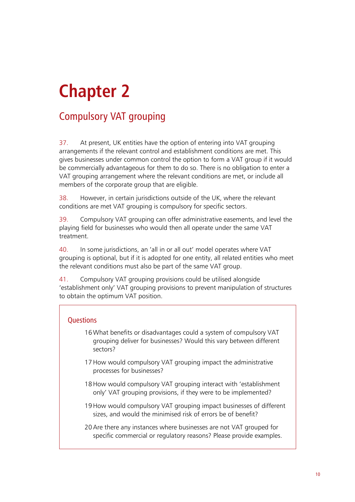# **Chapter 2**

# Compulsory VAT grouping

37. At present, UK entities have the option of entering into VAT grouping arrangements if the relevant control and establishment conditions are met. This gives businesses under common control the option to form a VAT group if it would be commercially advantageous for them to do so. There is no obligation to enter a VAT grouping arrangement where the relevant conditions are met, or include all members of the corporate group that are eligible.

38. However, in certain jurisdictions outside of the UK, where the relevant conditions are met VAT grouping is compulsory for specific sectors.

39. Compulsory VAT grouping can offer administrative easements, and level the playing field for businesses who would then all operate under the same VAT treatment.

40. In some jurisdictions, an 'all in or all out' model operates where VAT grouping is optional, but if it is adopted for one entity, all related entities who meet the relevant conditions must also be part of the same VAT group.

41. Compulsory VAT grouping provisions could be utilised alongside 'establishment only' VAT grouping provisions to prevent manipulation of structures to obtain the optimum VAT position.

#### **Ouestions**

- 16 What benefits or disadvantages could a system of compulsory VAT grouping deliver for businesses? Would this vary between different sectors?
- 17How would compulsory VAT grouping impact the administrative processes for businesses?
- 18How would compulsory VAT grouping interact with 'establishment only' VAT grouping provisions, if they were to be implemented?
- 19How would compulsory VAT grouping impact businesses of different sizes, and would the minimised risk of errors be of benefit?

20Are there any instances where businesses are not VAT grouped for specific commercial or regulatory reasons? Please provide examples.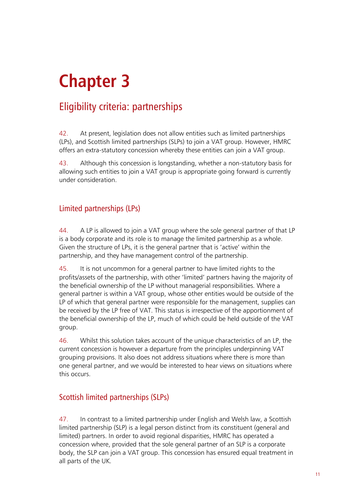# **Chapter 3**

## Eligibility criteria: partnerships

42. At present, legislation does not allow entities such as limited partnerships (LPs), and Scottish limited partnerships (SLPs) to join a VAT group. However, HMRC offers an extra-statutory concession whereby these entities can join a VAT group.

43. Although this concession is longstanding, whether a non-statutory basis for allowing such entities to join a VAT group is appropriate going forward is currently under consideration.

### Limited partnerships (LPs)

44. A LP is allowed to join a VAT group where the sole general partner of that LP is a body corporate and its role is to manage the limited partnership as a whole. Given the structure of LPs, it is the general partner that is 'active' within the partnership, and they have management control of the partnership.

45. It is not uncommon for a general partner to have limited rights to the profits/assets of the partnership, with other 'limited' partners having the majority of the beneficial ownership of the LP without managerial responsibilities. Where a general partner is within a VAT group, whose other entities would be outside of the LP of which that general partner were responsible for the management, supplies can be received by the LP free of VAT. This status is irrespective of the apportionment of the beneficial ownership of the LP, much of which could be held outside of the VAT group.

46. Whilst this solution takes account of the unique characteristics of an LP, the current concession is however a departure from the principles underpinning VAT grouping provisions. It also does not address situations where there is more than one general partner, and we would be interested to hear views on situations where this occurs.

### Scottish limited partnerships (SLPs)

47. In contrast to a limited partnership under English and Welsh law, a Scottish limited partnership (SLP) is a legal person distinct from its constituent (general and limited) partners. In order to avoid regional disparities, HMRC has operated a concession where, provided that the sole general partner of an SLP is a corporate body, the SLP can join a VAT group. This concession has ensured equal treatment in all parts of the UK.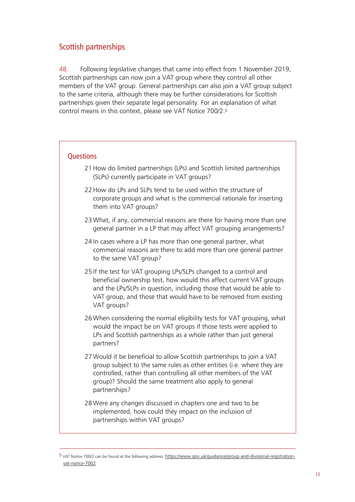### Scottish partnerships

 $\overline{a}$ 

48. Following legislative changes that came into effect from 1 November 2019, Scottish partnerships can now join a VAT group where they control all other members of the VAT group. General partnerships can also join a VAT group subject to the same criteria, although there may be further considerations for Scottish partnerships given their separate legal personality. For an explanation of what control means in this context, please see VAT Notice 700/2. 5

### **Ouestions** 21How do limited partnerships (LPs) and Scottish limited partnerships (SLPs) currently participate in VAT groups? 22 How do LPs and SLPs tend to be used within the structure of corporate groups and what is the commercial rationale for inserting them into VAT groups? 23 What, if any, commercial reasons are there for having more than one general partner in a LP that may affect VAT grouping arrangements? 24 In cases where a LP has more than one general partner, what commercial reasons are there to add more than one general partner to the same VAT group? 25 If the test for VAT grouping LPs/SLPs changed to a control and beneficial ownership test, how would this affect current VAT groups and the LPs/SLPs in question, including those that would be able to VAT group, and those that would have to be removed from existing VAT groups? 26 When considering the normal eligibility tests for VAT grouping, what would the impact be on VAT groups if those tests were applied to LPs and Scottish partnerships as a whole rather than just general partners? 27 Would it be beneficial to allow Scottish partnerships to join a VAT group subject to the same rules as other entities (i.e. where they are controlled, rather than controlling all other members of the VAT group)? Should the same treatment also apply to general partnerships? 28 Were any changes discussed in chapters one and two to be implemented, how could they impact on the inclusion of partnerships within VAT groups?

<sup>5</sup> VAT Notice 700/2 can be found at the following address: [https://www.gov.uk/guidance/group-and-divisional-registration](https://www.gov.uk/guidance/group-and-divisional-registration-vat-notice-7002)[vat-notice-7002](https://www.gov.uk/guidance/group-and-divisional-registration-vat-notice-7002)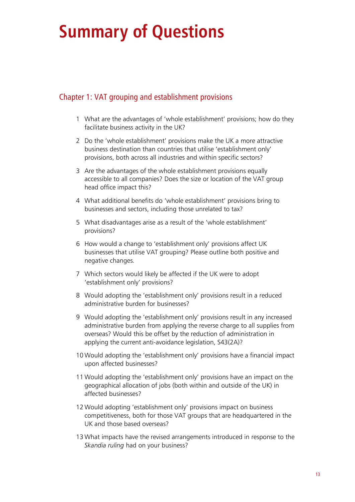# **Summary of Questions**

#### Chapter 1: VAT grouping and establishment provisions

- 1 What are the advantages of 'whole establishment' provisions; how do they facilitate business activity in the UK?
- 2 Do the 'whole establishment' provisions make the UK a more attractive business destination than countries that utilise 'establishment only' provisions, both across all industries and within specific sectors?
- 3 Are the advantages of the whole establishment provisions equally accessible to all companies? Does the size or location of the VAT group head office impact this?
- 4 What additional benefits do 'whole establishment' provisions bring to businesses and sectors, including those unrelated to tax?
- 5 What disadvantages arise as a result of the 'whole establishment' provisions?
- 6 How would a change to 'establishment only' provisions affect UK businesses that utilise VAT grouping? Please outline both positive and negative changes.
- 7 Which sectors would likely be affected if the UK were to adopt 'establishment only' provisions?
- 8 Would adopting the 'establishment only' provisions result in a reduced administrative burden for businesses?
- 9 Would adopting the 'establishment only' provisions result in any increased administrative burden from applying the reverse charge to all supplies from overseas? Would this be offset by the reduction of administration in applying the current anti-avoidance legislation, S43(2A)?
- 10 Would adopting the 'establishment only' provisions have a financial impact upon affected businesses?
- 11 Would adopting the 'establishment only' provisions have an impact on the geographical allocation of jobs (both within and outside of the UK) in affected businesses?
- 12 Would adopting 'establishment only' provisions impact on business competitiveness, both for those VAT groups that are headquartered in the UK and those based overseas?
- 13 What impacts have the revised arrangements introduced in response to the *Skandia ruling* had on your business?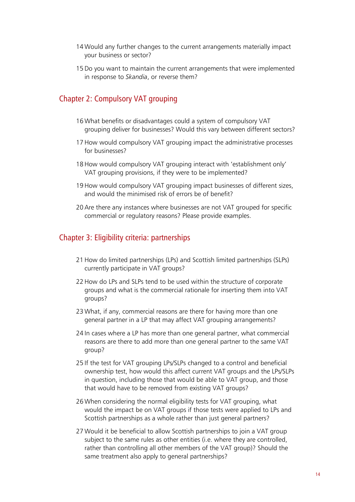- 14 Would any further changes to the current arrangements materially impact your business or sector?
- 15Do you want to maintain the current arrangements that were implemented in response to *Skandia*, or reverse them?

#### Chapter 2: Compulsory VAT grouping

- 16 What benefits or disadvantages could a system of compulsory VAT grouping deliver for businesses? Would this vary between different sectors?
- 17How would compulsory VAT grouping impact the administrative processes for businesses?
- 18How would compulsory VAT grouping interact with 'establishment only' VAT grouping provisions, if they were to be implemented?
- 19How would compulsory VAT grouping impact businesses of different sizes, and would the minimised risk of errors be of benefit?
- 20Are there any instances where businesses are not VAT grouped for specific commercial or regulatory reasons? Please provide examples.

#### Chapter 3: Eligibility criteria: partnerships

- 21How do limited partnerships (LPs) and Scottish limited partnerships (SLPs) currently participate in VAT groups?
- 22How do LPs and SLPs tend to be used within the structure of corporate groups and what is the commercial rationale for inserting them into VAT groups?
- 23 What, if any, commercial reasons are there for having more than one general partner in a LP that may affect VAT grouping arrangements?
- 24 In cases where a LP has more than one general partner, what commercial reasons are there to add more than one general partner to the same VAT group?
- 25 If the test for VAT grouping LPs/SLPs changed to a control and beneficial ownership test, how would this affect current VAT groups and the LPs/SLPs in question, including those that would be able to VAT group, and those that would have to be removed from existing VAT groups?
- 26 When considering the normal eligibility tests for VAT grouping, what would the impact be on VAT groups if those tests were applied to LPs and Scottish partnerships as a whole rather than just general partners?
- 27 Would it be beneficial to allow Scottish partnerships to join a VAT group subject to the same rules as other entities (i.e. where they are controlled, rather than controlling all other members of the VAT group)? Should the same treatment also apply to general partnerships?